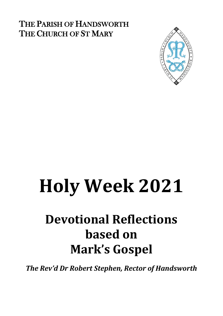### THE PARISH OF HANDSWORTH THE CHURCH OF ST MARY



# **Holy Week 2021**

## **Devotional Reflections based on Mark's Gospel**

*The Rev'd Dr Robert Stephen, Rector of Handsworth*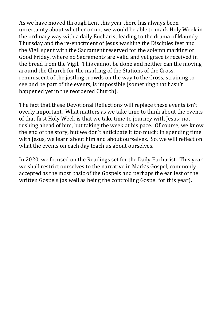As we have moved through Lent this year there has always been uncertainty about whether or not we would be able to mark Holy Week in the ordinary way with a daily Eucharist leading to the drama of Maundy Thursday and the re-enactment of Jesus washing the Disciples feet and the Vigil spent with the Sacrament reserved for the solemn marking of Good Friday, where no Sacraments are valid and yet grace is received in the bread from the Vigil. This cannot be done and neither can the moving around the Church for the marking of the Stations of the Cross, reminiscent of the jostling crowds on the way to the Cross, straining to see and be part of the events, is impossible (something that hasn't happened yet in the reordered Church).

The fact that these Devotional Reflections will replace these events isn't overly important. What matters as we take time to think about the events of that first Holy Week is that we take time to journey with Jesus: not rushing ahead of him, but taking the week at his pace. Of course, we know the end of the story, but we don't anticipate it too much: in spending time with Jesus, we learn about him and about ourselves. So, we will reflect on what the events on each day teach us about ourselves.

In 2020, we focused on the Readings set for the Daily Eucharist. This year we shall restrict ourselves to the narrative in Mark's Gospel, commonly accepted as the most basic of the Gospels and perhaps the earliest of the written Gospels (as well as being the controlling Gospel for this year).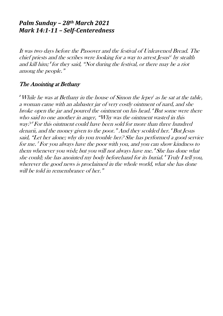#### *Palm Sunday – 28th March 2021 Mark 14:1-11 – Self-Centeredness*

It was two days before the Passover and the festival of Unleavened Bread. The chief prie[s](https://www.biblegateway.com/passage/?search=Mark%2014-15&version=NRSV#fen-NRSV-24749a)ts and the scribes were looking for a way to arrest Jesus  $\mathcal{S}$  by stealth and kill him; 2 for they said, "Not during the festival, or there may be a riot among the people."

#### The Anointing at Bethany

 $\mathcal {I}'$  While he was at Bethany in the house of Simon the leper' as he sat at the table, a woman came with an alabaster jar of very costly ointment of nard, and she broke open the jar and poured the ointment on his head. <sup>4</sup>But some were there who said to one another in anger, "Why was the ointment wasted in this way? 5 For this ointment could have been sold for more than three hundred denarii, and the money given to the poor." And they scolded her. <sup>6</sup>But Jesus said, "Let her alone; why do you trouble her? She has performed a good service for me. 7 For you always have the poor with you, and you can show kindness to them whenever you wish; but you will not always have me. 8 She has done what she could; she has anointed my body beforehand for its burial. <sup>9</sup>Truly I tell you, wherever the good news is proclaimed in the whole world, what she has done will be told in remembrance of her."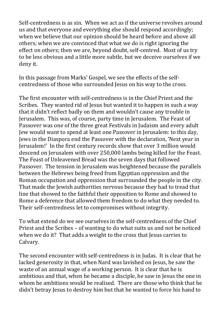Self-centredness is as sin. When we act as if the universe revolves around us and that everyone and everything else should respond accordingly; when we believe that our opinion should be heard before and above all others; when we are convinced that what we do is right ignoring the effect on others; then we are, beyond doubt, self-centred. Most of us try to be less obvious and a little more subtle, but we deceive ourselves if we deny it.

In this passage from Marks' Gospel, we see the effects of the selfcentredness of those who surrounded Jesus on his way to the cross.

The first encounter with self-centredness is in the Chief Priest and the Scribes. They wanted rid of Jesus but wanted it to happen in such a way that it didn't reflect badly on them and wouldn't cause any trouble in Jerusalem. This was, of course, party time in Jerusalem. The Feast of Passover was one of the three great Festivals in Judaism and every adult Jew would want to spend at least one Passover in Jerusalem: to this day, Jews in the Diaspora end the Passover with the declaration, 'Next year in Jerusalem!' In the first century records show that over 3 million would descend on Jerusalem with over 250,000 lambs being killed for the Feast. The Feast of Unleavened Bread was the seven days that followed Passover. The tension in Jerusalem was heightened because the parallels between the Hebrews being freed from Egyptian oppression and the Roman occupation and oppression that surrounded the people in the city. That made the Jewish authorities nervous because they had to tread that line that showed to the faithful their opposition to Rome and showed to Rome a deference that allowed them freedom to do what they needed to. Their self-centredness let to compromises without integrity.

To what extend do we see ourselves in the self-centredness of the Chief Priest and the Scribes – of wanting to do what suits us and not be noticed when we do it? That adds a weight to the cross that Jesus carries to Calvary.

The second encounter with self-centredness is in Judas. It is clear that he lacked generosity in that, when Nard was lavished on Jesus, he saw the waste of an annual wage of a working person. It is clear that he is ambitious and that, when he became a disciple, he saw in Jesus the one in whom he ambitions would be realised. There are those who think that he didn't betray Jesus to destroy him but that he wanted to force his hand to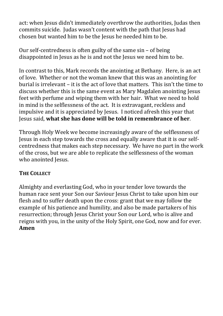act: when Jesus didn't immediately overthrow the authorities, Judas then commits suicide. Judas wasn't content with the path that Jesus had chosen but wanted him to be the Jesus he needed him to be.

Our self-centredness is often guilty of the same sin – of being disappointed in Jesus as he is and not the Jesus we need him to be.

In contrast to this, Mark records the anointing at Bethany. Here, is an act of love. Whether or not the woman knew that this was an anointing for burial is irrelevant – it is the act of love that matters. This isn't the time to discuss whether this is the same event as Mary Magdalen anointing Jesus feet with perfume and wiping them with her hair. What we need to hold in mind is the selflessness of the act. It is extravagant, reckless and impulsive and it is appreciated by Jesus. I noticed afresh this year that Jesus said, **what she has done will be told in remembrance of her**.

Through Holy Week we become increasingly aware of the selflessness of Jesus in each step towards the cross and equally aware that it is our selfcentredness that makes each step necessary. We have no part in the work of the cross, but we are able to replicate the selflessness of the woman who anointed Jesus.

#### **THE COLLECT**

Almighty and everlasting God, who in your tender love towards the human race sent your Son our Saviour Jesus Christ to take upon him our flesh and to suffer death upon the cross: grant that we may follow the example of his patience and humility, and also be made partakers of his resurrection; through Jesus Christ your Son our Lord, who is alive and reigns with you, in the unity of the Holy Spirit, one God, now and for ever. **Amen**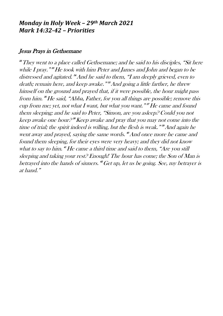#### *Monday in Holy Week – 29th March 2021 Mark 14:32-42 – Priorities*

#### Jesus Prays in Gethsemane

<sup>32</sup>They went to a place called Gethsemane; and he said to his disciples, "Sit here while  $I$  pray."<sup>"</sup> He took with him Peter and James and John and began to be distressed and agitated. <sup>34</sup>And he said to them, "I am deeply grieved, even to death; remain here, and keep awake."\*And going a little farther, he threw himself on the ground and prayed that, if it were possible, the hour might pass from him. "He said, "Abba, Father, for you all things are possible; remove this cup from me; yet, not what I want, but what you want."" He came and found them sleeping; and he said to Peter, "Simon, are you asleep? Could you not keep awake one hour?" Keep awake and pray that you may not come into the time of trial; the spirit indeed is willing, but the flesh is weak." *And again he* went away and prayed, saying the same words. <sup>"</sup>And once more he came and found them sleeping, for their eyes were very heavy; and they did not know what to say to him. "He came a third time and said to them, "Are you still sleeping and taking your rest? Enough! The hour has come; the Son of Man is betrayed into the hands of sinners. <sup>42</sup>Get up, let us be going. See, my betrayer is at hand."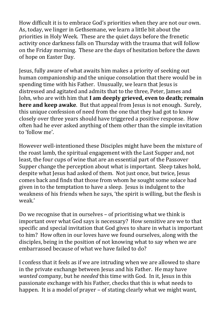How difficult it is to embrace God's priorities when they are not our own. As, today, we linger in Gethsemane, we learn a little bit about the priorities in Holy Week. These are the quiet days before the frenetic activity once darkness falls on Thursday with the trauma that will follow on the Friday morning. These are the days of hesitation before the dawn of hope on Easter Day.

Jesus, fully aware of what awaits him makes a priority of seeking out human companionship and the unique consolation that there would be in spending time with his Father. Unusually, we learn that Jesus is distressed and agitated and admits that to the three, Peter, James and John, who are with him that **I am deeply grieved, even to death; remain here and keep awake**. But that appeal from Jesus is not enough. Surely, this unique confession of need from the one that they had got to know closely over three years should have triggered a positive response. How often had he ever asked anything of them other than the simple invitation to 'follow me'.

However well-intentioned these Disciples might have been the mixture of the roast lamb, the spiritual engagement with the Last Supper and, not least, the four cups of wine that are an essential part of the Passover Supper change the perception about what is important. Sleep takes hold, despite what Jesus had asked of them. Not just once, but twice, Jesus comes back and finds that those from whom he sought some solace had given in to the temptation to have a sleep. Jesus is indulgent to the weakness of his friends when he says, 'the spirit is willing, but the flesh is weak.'

Do we recognise that in ourselves – of prioritising what we think is important over what God says is necessary? How sensitive are we to that specific and special invitation that God gives to share in what is important to him? How often in our loves have we found ourselves, along with the disciples, being in the position of not knowing what to say when we are embarrassed because of what we have failed to do?

I confess that it feels as if we are intruding when we are allowed to share in the private exchange between Jesus and his Father. He may have *wanted* company, but he *needed* this time with God. In it, Jesus in this passionate exchange with his Father, checks that this is what needs to happen. It is a model of prayer – of stating clearly what we might want,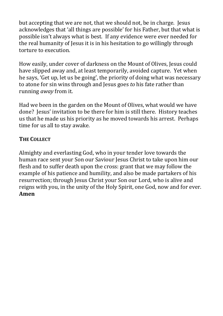but accepting that we are not, that we should not, be in charge. Jesus acknowledges that 'all things are possible' for his Father, but that what is possible isn't always what is best. If any evidence were ever needed for the real humanity of Jesus it is in his hesitation to go willingly through torture to execution.

How easily, under cover of darkness on the Mount of Olives, Jesus could have slipped away and, at least temporarily, avoided capture. Yet when he says, 'Get up, let us be going', the priority of doing what was necessary to atone for sin wins through and Jesus goes *to* his fate rather than running *away* from it.

Had we been in the garden on the Mount of Olives, what would we have done? Jesus' invitation to be there for him is still there. History teaches us that he made us his priority as he moved towards his arrest. Perhaps time for us all to stay awake.

#### **THE COLLECT**

Almighty and everlasting God, who in your tender love towards the human race sent your Son our Saviour Jesus Christ to take upon him our flesh and to suffer death upon the cross: grant that we may follow the example of his patience and humility, and also be made partakers of his resurrection; through Jesus Christ your Son our Lord, who is alive and reigns with you, in the unity of the Holy Spirit, one God, now and for ever. **Amen**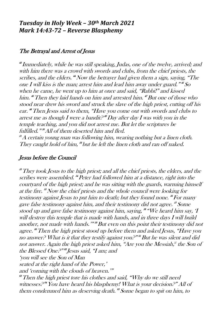#### *Tuesday in Holy Week – 30th March 2021 Mark 14:43-72 – Reverse Blasphemy*

#### The Betrayal and Arrest of Jesus

43 Immediately, while he was still speaking, Judas, one of the twelve, arrived; and with him there was a crowd with swords and clubs, from the chief priests, the scribes, and the elders. "Now the betrayer had given them a sign, saying, "The one I will kiss is the man; arrest him and lead him away under guard." $^{\prime\prime}S\!$ when he came, he went up to him at once and said, "Rabbi!" and kissed him. <sup>46</sup>Then they laid hands on him and arrested him. <sup>47</sup>But one of those who stood near drew his sword and struck the slave of the high priest, cutting off his ear. <sup>48</sup>Then Jesus said to them, "Have you come out with swords and clubs to arrest me as though I were a bandit?" Day after day I was with you in the temple teaching, and you did not arrest me. But let the scriptures be fulfilled."" All of them deserted him and fled. <sup>51</sup>A certain young man was following him, wearing nothing but a linen cloth.

They caught hold of him, <sup>39</sup> but he left the linen cloth and ran off naked.

#### Jesus before the Council

<sup>53</sup>They took Jesus to the high priest; and all the chief priests, the elders, and the scribes were assembled. <sup>84</sup> Peter had followed him at a distance, right into the courtyard of the high priest; and he was sitting with the guards, warming himself at the fire. <sup>55</sup>Now the chief priests and the whole council were looking for testimony against Jesus to put him to death; but they found none. "For many gave false testimony against him, and their testimony did not agree. 57 Some stood up and gave false testimony against him, saying, 58 "We heard him say, 'I will destroy this temple that is made with hands, and in three days I will build another, not made with hands.'" <sup>59</sup>But even on this point their testimony did not agree. <sup>60</sup>Then the high priest stood up before them and asked Jesus, "Have you no answer? What is it that they testify against you.?" Hut he was silent and did not answer. Again the high priest asked him, "Are you the Messiah," the Son of the Blessed One.<sup>9" or</sup> Jesus said, "I am; and 'you will see the Son of Man seated at the right hand of the Power,' and 'coming with the clouds of heaven.'" <sup>63</sup>Then the high priest tore his clothes and said, "Why do we still need witnesses? <sup>64</sup>You have heard his blasphemy! What is your decision?" All of

them condemned him as deserving death. <sup>86</sup> Some began to spit on him, to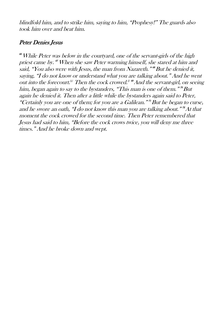blindfold him, and to strike him, saying to him, "Prophesy!" The guards also took him over and beat him.

#### Peter Denies Jesus

 $^{\infty}$  While Peter was below in the courtyard, one of the servant-girls of the high priest came by. <sup>67</sup>When she saw Peter warming himself, she stared at him and said, "You also were with Jesus, the man from Nazareth." "But he denied it, saying, "I do not know or understand what you are talking about." And he went out into the forecourt.<sup> $\mathbb{F}$ </sup> Then the cock crowed.  $\mathbb{F}$  and the servant-girl, on seeing him, began again to say to the bystanders, "This man is one of them."" But again he denied it. Then after a little while the bystanders again said to Peter, "Certainly you are one of them; for you are a Galilean." <sup>71</sup>But he began to curse, and he swore an oath, "I do not know this man you are talking about.""At that moment the cock crowed for the second time. Then Peter remembered that Jesus had said to him, "Before the cock crows twice, you will deny me three times." And he broke down and wept.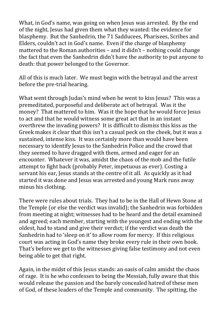What, in God's name, was going on when Jesus was arrested. By the end of the night, Jesus had given them what they wanted: the evidence for blasphemy. But the Sanhedrin, the 71 Sadducees, Pharisees, Scribes and Elders, couldn't act in God's name. Even if the charge of blasphemy mattered to the Roman authorities – and it didn't – nothing could change the fact that even the Sanhedrin didn't have the authority to put anyone to death: that power belonged to the Governor.

All of this is much later. We must begin with the betrayal and the arrest before the pre-trial hearing.

What went through Judas's mind when he went to kiss Jesus? This was a premeditated, purposeful and deliberate act of betrayal. Was it the money? That mattered to him. Was it the hope that he would force Jesus to act and that he would witness some great act that in an instant overthrew the invading powers? It is difficult to dismiss this kiss as the Greek makes it clear that this isn't a casual peck on the cheek, but it was a sustained, intense kiss. It was certainly more than would have been necessary to identify Jesus to the Sanhedrin Police and the crowd that they seemed to have dragged with them, armed and eager for an encounter. Whatever it was, amidst the chaos of the mob and the futile attempt to fight back (probably Peter, impetuous as ever). Costing a servant his ear, Jesus stands at the centre of it all. As quickly as it had started it was done and Jesus was arrested and young Mark runs away minus his clothing.

There were rules about trials. They had to be in the Hall of Hewn Stone at the Temple (or else the verdict was invalid); the Sanhedrin was forbidden from meeting at night; witnesses had to be heard and the detail examined and agreed; each member, starting with the youngest and ending with the oldest, had to stand and give their verdict; if the verdict was death the Sanhedrin had to 'sleep on it' to allow room for mercy. If this religious court was acting in God's name they broke every rule in their own book. That's before we get to the witnesses giving false testimony and not even being able to get that right.

Again, in the midst of this Jesus stands: an oasis of calm amidst the chaos of rage. It is he who confesses to being the Messiah, fully aware that this would release the passion and the barely concealed hatred of these men of God, of these leaders of the Temple and community. The spitting, the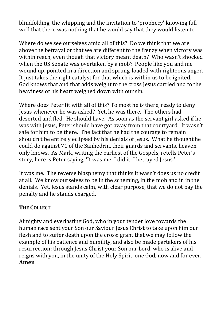blindfolding, the whipping and the invitation to 'prophecy' knowing full well that there was nothing that he would say that they would listen to.

Where do we see ourselves amid all of this? Do we think that we are above the betrayal or that we are different to the frenzy when victory was within reach, even though that victory meant death? Who wasn't shocked when the US Senate was overtaken by a mob? People like you and me wound up, pointed in a direction and sprung-loaded with righteous anger. It just takes the right catalyst for that which is within us to be ignited. God knows that and that adds weight to the cross Jesus carried and to the heaviness of his heart weighed down with our sin.

Where does Peter fit with all of this? To most he is there, ready to deny Jesus whenever he was asked? Yet, he was there. The others had deserted and fled. He should have. As soon as the servant girl asked if he was with Jesus, Peter should have got away from that courtyard. It wasn't safe for him to be there. The fact that he had the courage to remain shouldn't be entirely eclipsed by his denials of Jesus. What he thought he could do against 71 of the Sanhedrin, their guards and servants, heaven only knows. As Mark, writing the earliest of the Gospels, retells Peter's story, here is Peter saying, 'It was me: I did it: I betrayed Jesus.'

It was me. The reverse blasphemy that thinks it wasn't does us no credit at all. We know ourselves to be in the scheming, in the mob and in in the denials. Yet, Jesus stands calm, with clear purpose, that we do not pay the penalty and he stands charged.

#### **THE COLLECT**

Almighty and everlasting God, who in your tender love towards the human race sent your Son our Saviour Jesus Christ to take upon him our flesh and to suffer death upon the cross: grant that we may follow the example of his patience and humility, and also be made partakers of his resurrection; through Jesus Christ your Son our Lord, who is alive and reigns with you, in the unity of the Holy Spirit, one God, now and for ever. **Amen**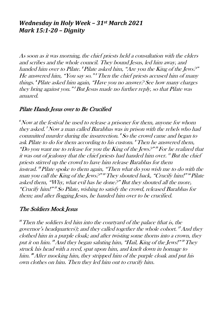#### *Wednesday in Holy Week – 31st March 2021 Mark 15:1-20 – Dignity*

As soon as it was morning, the chief priests held a consultation with the elders and scribes and the whole council. They bound Jesus, led him away, and handed him over to Pilate. "Pilate asked him, "Are you the King of the Jews.?" He answered him, "You say so." <sup>3</sup>Then the chief priests accused him of many things. 4 Pilate asked him again, "Have you no answer? See how many charges they bring against you." <sup>5</sup>But Jesus made no further reply, so that Pilate was amazed.

#### Pilate Hands Jesus over to Be Crucified

 $\delta$ Now at the festival he used to release a prisoner for them, anyone for whom they asked. <sup>7</sup>Now a man called Barabbas was in prison with the rebels who had committed murder during the insurrection. 8 So the crowd came and began to ask Pilate to do for them according to his custom. <sup>9</sup>Then he answered them, "Do you want me to release for you the King of the Jews?" 10 For he realized that it was out of jealousy that the chief priests had handed him over. " But the chief priests stirred up the crowd to have him release Barabbas for them instead. 12 Pilate spoke to them again, "Then what do you wish me to d<sup>o</sup> with the man you call the King of the Jews.<sup>9" "</sup> They shouted back, "Crucify him!" <del>"</del> Pilate asked them, "Why, what evil has he done?" But they shouted all the more, "Crucify him!" 15 So Pilate, wishing to satisfy the crowd, released Barabbas for them: and after flogging Jesus, he handed him over to be crucified.

#### The Soldiers Mock Jesus

 $\mu$ <sup>16</sup> Then the soldiers led him into the courty and of the palace (that is, the governor's headquarters); and they called together the whole cohort. "And they clothed him in a purple cloak; and after twisting some thorns into a crown, they put it on him. <sup>18</sup> And they began saluting him, "Hail, King of the Jews!" <sup>19</sup> They struck his head with a reed, spat upon him, and knelt down in homage to him. <sup>20</sup> After mocking him, they stripped him of the purple cloak and put his own clothes on him. Then they led him out to crucify him.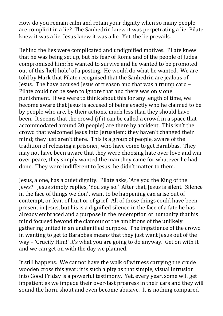How do you remain calm and retain your dignity when so many people are complicit in a lie? The Sanhedrin knew it was perpetrating a lie; Pilate knew it was a lie; Jesus knew it was a lie. Yet, the lie prevails.

Behind the lies were complicated and undignified motives. Pilate knew that he was being set up, but his fear of Rome and of the people of Judea compromised him: he wanted to survive and he wanted to be promoted out of this 'hell-hole' of a posting. He would do what he wanted. We are told by Mark that Pilate recognised that the Sanhedrin are jealous of Jesus. The have accused Jesus of treason and that was a trump card – Pilate could not be seen to ignore that and there was only one punishment. If we were to think about this for any length of time, we become aware that Jesus is accused of being exactly who he claimed to be by people who are, by their actions, much less than they should have been. It seems that the crowd (if it can be called a crowd in a space that accommodated around 30 people) are there by accident. This isn't the crowd that welcomed Jesus into Jerusalem: they haven't changed their mind; they just aren't there. This is a group of people, aware of the tradition of releasing a prisoner, who have come to get Barabbas. They may not have been aware that they were choosing hate over love and war over peace, they simply wanted the man they came for whatever he had done. They were indifferent to Jesus; he didn't matter to them.

Jesus, alone, has a quiet dignity. Pilate asks, 'Are you the King of the Jews?' Jesus simply replies, 'You say so.' After that, Jesus is silent. Silence in the face of things we don't want to be happening can arise out of contempt, or fear, of hurt or of grief. All of those things could have been present in Jesus, but his is a dignified silence in the face of a fate he has already embraced and a purpose in the redemption of humanity that his mind focused beyond the clamour of the ambitions of the unlikely gathering united in an undignified purpose. The impatience of the crowd in wanting to get to Barabbas means that they just want Jesus out of the way – 'Crucify Him!' It's what you are going to do anyway. Get on with it and we can get on with the day we planned.

It still happens. We cannot have the walk of witness carrying the crude wooden cross this year: it is such a pity as that simple, visual intrusion into Good Friday is a powerful testimony. Yet, every year, some will get impatient as we impede their over-fast progress in their cars and they will sound the horn, shout and even become abusive. It is nothing compared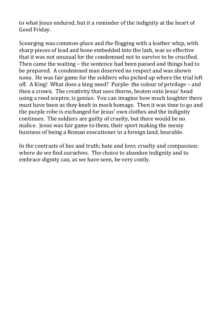to what Jesus endured, but it a reminder of the indignity at the heart of Good Friday.

Scourging was common-place and the flogging with a leather whip, with sharp pieces of lead and bone embedded into the lash, was so effective that it was not unusual for the condemned not to survive to be crucified. Then came the waiting – the sentence had been passed and things had to be prepared. A condemned man deserved no respect and was shown none. He was fair game for the soldiers who picked up where the trial left off. A King! What does a king need? Purple- the colour of privilege – and then a crown. The creativity that uses thorns, beaten onto Jesus' head using a reed sceptre, is genius. You can imagine how much laughter there must have been as they knelt in mock homage. Then it was time to go and the purple robe is exchanged for Jesus' own clothes and the indignity continues. The soldiers are guilty of cruelty, but there would be no malice. Jesus was fair game to them, their sport making the messy business of being a Roman executioner in a foreign land, bearable.

In the contrasts of lies and truth; hate and love; cruelty and compassion: where do we find ourselves. The choice to abandon indignity and to embrace dignity can, as we have seen, be very costly.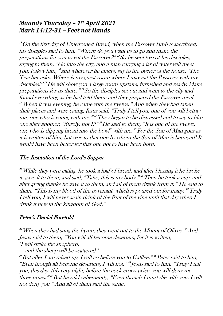#### *Maundy Thursday – 1st April 2021 Mark 14:12-31 – Feet not Hands*

 $12$ On the first day of Unleavened Bread, when the Passover lamb is sacrificed, his disciples said to him, "Where do you want us to go and make the preparations for you to eat the Passover?" 13 So he sent two of his disciples, saying to them, "Go into the city, and a man carrying a jar of water will meet you; follow him, 14 and wherever he enters, say to the owner of the house, 'The Teacher asks, Where is my guest room where I may eat the Passover with my disciples.<sup>918</sup> He will show you a large room upstairs, furnished and ready. Make preparations for us there." 16 So the disciples set out and went to the city and found everything as he had told them; and they prepared the Passover meal. "When it was evening, he came with the twelve. "And when they had taken their places and were eating, Jesus said, "Truly I tell you, one of you will betray me, one who is eating with me."" They began to be distressed and to say to him one after another, "Surely, not  $I^{p}_{\cdot}$ " He said to them, "It is one of the twelve, one who is dipping bread into the bo[wl](https://www.biblegateway.com/passage/?search=Mark%2014-15&version=NRSV#fen-NRSV-24768f)<sup>"</sup> with me.  $\mathbf{f}$  For the Son of Man goes as it is written of him, but woe to that one by whom the Son of Man is betrayed! It would have been better for that one not to have been born."

#### The Institution of the Lord's Suppe<sup>r</sup>

 $22$  While they were eating, he took a loaf of bread, and after blessing it he broke it, gave it to them, and said, "Take; this is my body." " Then he took a cup, and after giving thanks he gave it to them, and all of them drank from it. "He said to them, "This is my blood of the covenant, which is poured out for many." Truly I tell you, I will never again drink of the fruit of the vine until that day when I drink it new in the kingdom of God."

#### Peter's Denial Foretold

 $^{\text{\tiny{\text{26}}}}$  When they had sung the hymn, they went out to the Mount of Olives.  $^{\text{\tiny{\text{2}}}}$  And Jesus said to them, "You will all become deserters; for it is written, 'I will strike the shepherd,

and the sheep will be scattered.'

<sup>28</sup>But after I am raised up, I will go before you to Galilee." 29 Peter said to him, "Even though all become deserters, I will not." 30 Jesus said to him, "Truly I tell you, this day, this very night, before the cock crows twice, you will deny me three times."<sup>"</sup> But he said vehemently, "Even though I must die with you, I will not deny you." And all of them said the same.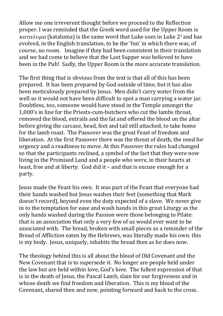Allow me one irreverent thought before we proceed to the Reflection proper. I was reminded that the Greek word used for the Upper Room is  $\kappa \alpha \tau \alpha \lambda \nu \mu \alpha$  (kataluma) is the same word that Luke uses in Luke 27 and has evolved, in the English translation, to be the 'Inn' in which there was, of course, no room. Imagine if they had been consistent in their translation and we had come to believe that the Last Supper was believed to have been in the Pub! Sadly, the Upper Room is the more accurate translation.

The first thing that is obvious from the text is that all of this has been prepared. It has been prepared by God outside of time, but it has also been meticulously prepared by Jesus. Men didn't carry water from the well so it would not have been difficult to spot a man carrying a water jar. Doubtless, too, someone would have stood in the Temple amongst the 1,000's in line for the Priests-cum-butchers who cut the lambs throat, removed the blood, entrails and the fat and offered the blood on the altar before giving the carcase, head, feet and tail still attached, to take home for the lamb roast. The Passover was the great Feast of freedom and liberation. At the first Passover there was the threat of death, the need for urgency and a readiness to move. At this Passover the rules had changed so that the participants reclined, a symbol of the fact that they were now living in the Promised Land and a people who were, in their hearts at least, free and at liberty. God did it – and that is excuse enough for a party.

Jesus made the Feast his own. It was part of the Feast that everyone had their hands washed but Jesus washes their feet (something that Mark doesn't record), beyond even the duty expected of a slave. We never give in to the temptation for ease and wash hands in this great Liturgy as the only hands washed during the Passion were those belonging to Pilate: that is an association that only a very few of us would ever want to be associated with. The bread, broken with small pieces as a reminder of the Bread of Affliction eaten by the Hebrews, was literally made his own: this is my body. Jesus, uniquely, inhabits the bread then as he does now.

The theology behind this is all about the blood of Old Covenant and the New Covenant that is to supersede it. No longer are people held under the law but are held within love, God's love. The fullest expression of that is in the death of Jesus, the Pascal Lamb, slain for our forgiveness and in whose death we find freedom and liberation. This is my blood of the Covenant, shared then and now, pointing forward and back to the cross.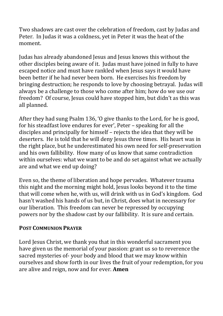Two shadows are cast over the celebration of freedom, cast by Judas and Peter. In Judas it was a coldness, yet in Peter it was the heat of the moment.

Judas has already abandoned Jesus and Jesus knows this without the other disciples being aware of it. Judas must have joined in fully to have escaped notice and must have rankled when Jesus says it would have been better if he had never been born. He exercises his freedom by bringing destruction; he responds to love by choosing betrayal. Judas will always be a challenge to those who come after him; how do we use our freedom? Of course, Jesus could have stopped him, but didn't as this was all planned.

After they had sung Psalm 136, 'O give thanks to the Lord, for he is good, for his steadfast love endures for ever', Peter – speaking for all the disciples and principally for himself – rejects the idea that they will be deserters. He is told that he will deny Jesus three times. His heart was in the right place, but he underestimated his own need for self-preservation and his own fallibility. How many of us know that same contradiction within ourselves: what we want to be and do set against what we actually are and what we end up doing?

Even so, the theme of liberation and hope pervades. Whatever trauma this night and the morning might hold, Jesus looks beyond it to the time that will come when he, with us, will drink with us in God's kingdom. God hasn't washed his hands of us but, in Christ, does what in necessary for our liberation. This freedom can never be repressed by occupying powers nor by the shadow cast by our fallibility. It is sure and certain.

#### **POST COMMUNION PRAYER**

Lord Jesus Christ, we thank you that in this wonderful sacrament you have given us the memorial of your passion: grant us so to reverence the sacred mysteries of- your body and blood that we may know within ourselves and show forth in our lives the fruit of your redemption, for you are alive and reign, now and for ever. **Amen**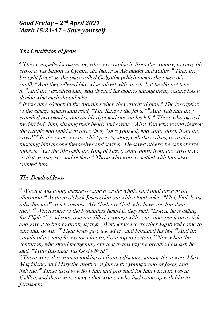#### *Good Friday – 2nd April 2021 Mark 15:21-47 – Save yourself*

#### The Crucifixion of Jesus

 $2<sup>21</sup>$  They compelled a passer-by, who was coming in from the country, to carry his cross; it was Simon of Cyrene, the father of Alexander and Rufus. "Then they brought Jesus $\mathbb F$  to the place called Golgotha (which means the place of a skull). <sup>23</sup>And they offered him wine mixed with myrrh; but he did not take it. <sup>24</sup>And they crucified him, and divided his clothes among them, casting lots to decide what each should take.

25 It was nine o'clock in the morning when they crucified him. <sup>26</sup>The inscription of the charge against him read, "The King of the Jews."" And with him they crucified two bandits, one on his right and one on his left <sup>29</sup>Those who passed by [d](https://www.biblegateway.com/passage/?search=Mark%2014-15&version=NRSV#fen-NRSV-24848r)erided" him, shaking their heads and saying, "Aha! You who would destroy the temple and build it in three days,  $\mathcal{S}$  save yourself, and come down from the cross!" 31 In the same way the chief priests, along with the scribes, were also mocking him among themselves and saying, "He saved others; he cannot save himself. <sup>28</sup> Let the Messiah, the King of Israel, come down from the cross now, so that we may see and believe." Those who were crucified with him also taunted him.

#### The Death of Jesus

<sup>33</sup>When it was noon, darkness came over the whole land until three in the afternoon. <sup>34</sup>At three o'clock Jesus cried out with a loud voice, "Eloi, Eloi, lema sabachthani?" which means, "My God, my God, why have you forsaken me?" <sup>35</sup>When some of the bystanders heard it, they said, "Listen, he is calling for Elijah." *\*And someone ran, filled a sponge with sour wine, put it on a stick,* and gave it to him to drink, saying, "Wait, let us see whether Elijah will come t<sup>o</sup> take him down."" Then Jesus gave a loud cry and breathed his last. "And the curtain of the temple was torn in two, from top to bottom. <sup>89</sup> Now when the centurion, who stood facing him, saw that in this way he breathed his last, he said, "Truly this man was God's Son!"

<sup>4</sup> There were also women looking on from a distance; among them were Mary Magdalene, and Mary the mother of James the younger and of Joses, and Salome. <sup>41</sup>These used to follow him and provided for him when he was in Galilee; and there were many other women who had come up with him to Jerusalem.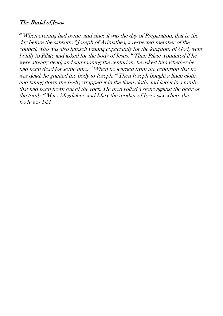#### The Burial of Jesus

<sup>42</sup>When evening had come, and since it was the day of Preparation, that is, the day before the sabbath, 43 Joseph of Arimathea, a respected member of the council, who was also himself waiting expectantly for the kingdom of God, went boldly to Pilate and asked for the body of Jesus. <sup>44</sup>Then Pilate wondered if he were already dead; and summoning the centurion, he asked him whether he had been dead for some time. <sup>45</sup>When he learned from the centurion that he was dead, he granted the body to Joseph. <sup>46</sup>Then Joseph bought a linen cloth, and taking down the body, wrapped it in the linen cloth, and laid it in a tomb that had been hewn out of the rock. He then rolled a stone against the door of the tomb. <sup>47</sup>Mary Magdalene and Mary the mother of Joses saw where the body was laid.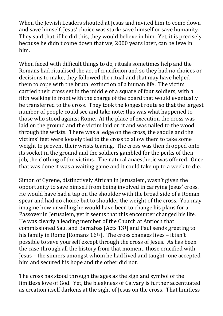When the Jewish Leaders shouted at Jesus and invited him to come down and save himself, Jesus' choice was stark: save himself or save humanity. They said that, if he did this, they would believe in him. Yet, it is precisely because he didn't come down that we, 2000 years later, can believe in him.

When faced with difficult things to do, rituals sometimes help and the Romans had ritualised the act of crucifixion and so they had no choices or decisions to make, they followed the ritual and that may have helped them to cope with the brutal extinction of a human life. The victim carried their cross set in the middle of a square of four soldiers, with a fifth walking in front with the charge of the board that would eventually be transferred to the cross. They took the longest route so that the largest number of people could see and take note: this was what happened to those who stood against Rome. At the place of execution the cross was laid on the ground and the victim laid on it and was nailed to the wood through the wrists. There was a ledge on the cross, the saddle and the victims' feet were loosely tied to the cross to allow them to take some weight to prevent their wrists tearing. The cross was then dropped onto its socket in the ground and the soldiers gambled for the perks of their job, the clothing of the victims. The natural anaesthetic was offered. Once that was done it was a waiting game and it could take up to a week to die.

Simon of Cyrene, distinctively African in Jerusalem, wasn't given the opportunity to save himself from being involved in carrying Jesus' cross. He would have had a tap on the shoulder with the broad side of a Roman spear and had no choice but to shoulder the weight of the cross. You may imagine how unwilling he would have been to change his plans for a Passover in Jerusalem, yet it seems that this encounter changed his life. He was clearly a leading member of the Church at Antioch that commissioned Saul and Barnabas [Acts 131] and Paul sends greeting to his family in Rome [Romans 16<sup>13</sup>]. The cross changes lives – it isn't possible to save yourself except through the cross of Jesus. As has been the case through all the history from that moment, those crucified with Jesus – the sinners amongst whom he had lived and taught -one accepted him and secured his hope and the other did not.

The cross has stood through the ages as the sign and symbol of the limitless love of God. Yet, the bleakness of Calvary is further accentuated as creation itself darkens at the sight of Jesus on the cross. That limitless